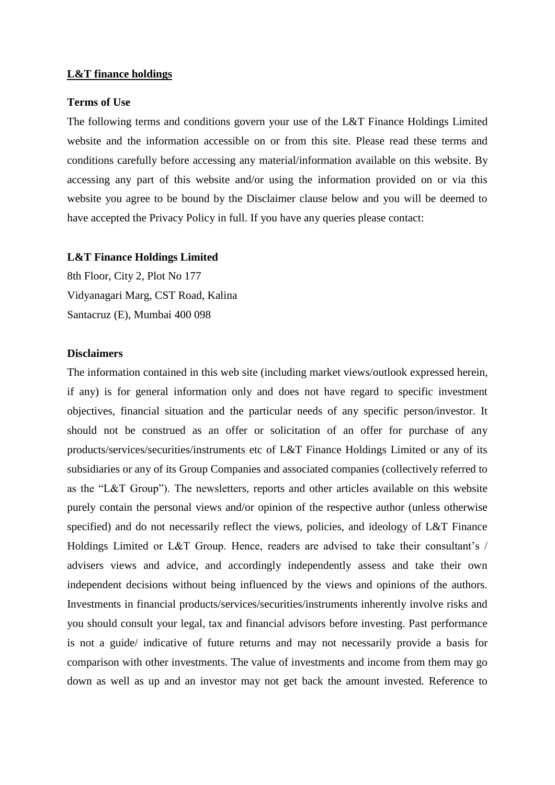# **L&T finance holdings**

#### **Terms of Use**

The following terms and conditions govern your use of the L&T Finance Holdings Limited website and the information accessible on or from this site. Please read these terms and conditions carefully before accessing any material/information available on this website. By accessing any part of this website and/or using the information provided on or via this website you agree to be bound by the Disclaimer clause below and you will be deemed to have accepted the Privacy Policy in full. If you have any queries please contact:

#### **L&T Finance Holdings Limited**

8th Floor, City 2, Plot No 177 Vidyanagari Marg, CST Road, Kalina Santacruz (E), Mumbai 400 098

### **Disclaimers**

The information contained in this web site (including market views/outlook expressed herein, if any) is for general information only and does not have regard to specific investment objectives, financial situation and the particular needs of any specific person/investor. It should not be construed as an offer or solicitation of an offer for purchase of any products/services/securities/instruments etc of L&T Finance Holdings Limited or any of its subsidiaries or any of its Group Companies and associated companies (collectively referred to as the "L&T Group"). The newsletters, reports and other articles available on this website purely contain the personal views and/or opinion of the respective author (unless otherwise specified) and do not necessarily reflect the views, policies, and ideology of L&T Finance Holdings Limited or L&T Group. Hence, readers are advised to take their consultant's / advisers views and advice, and accordingly independently assess and take their own independent decisions without being influenced by the views and opinions of the authors. Investments in financial products/services/securities/instruments inherently involve risks and you should consult your legal, tax and financial advisors before investing. Past performance is not a guide/ indicative of future returns and may not necessarily provide a basis for comparison with other investments. The value of investments and income from them may go down as well as up and an investor may not get back the amount invested. Reference to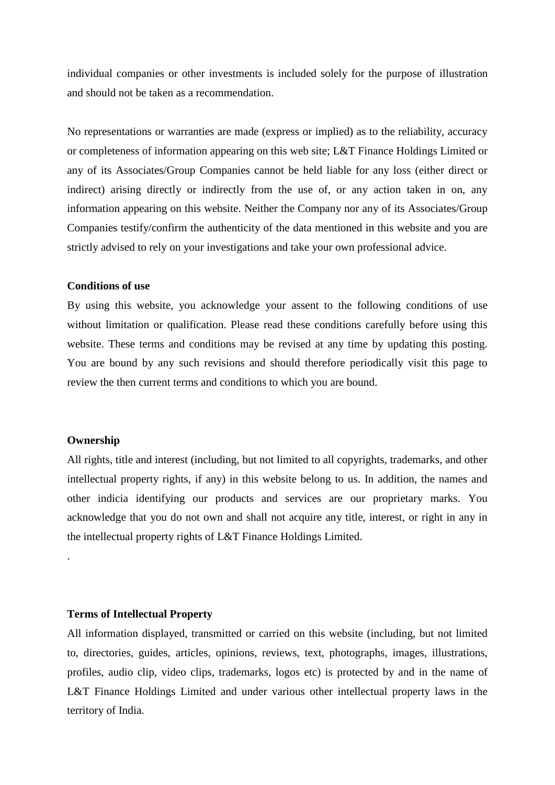individual companies or other investments is included solely for the purpose of illustration and should not be taken as a recommendation.

No representations or warranties are made (express or implied) as to the reliability, accuracy or completeness of information appearing on this web site; L&T Finance Holdings Limited or any of its Associates/Group Companies cannot be held liable for any loss (either direct or indirect) arising directly or indirectly from the use of, or any action taken in on, any information appearing on this website. Neither the Company nor any of its Associates/Group Companies testify/confirm the authenticity of the data mentioned in this website and you are strictly advised to rely on your investigations and take your own professional advice.

### **Conditions of use**

By using this website, you acknowledge your assent to the following conditions of use without limitation or qualification. Please read these conditions carefully before using this website. These terms and conditions may be revised at any time by updating this posting. You are bound by any such revisions and should therefore periodically visit this page to review the then current terms and conditions to which you are bound.

# **Ownership**

.

All rights, title and interest (including, but not limited to all copyrights, trademarks, and other intellectual property rights, if any) in this website belong to us. In addition, the names and other indicia identifying our products and services are our proprietary marks. You acknowledge that you do not own and shall not acquire any title, interest, or right in any in the intellectual property rights of L&T Finance Holdings Limited.

#### **Terms of Intellectual Property**

All information displayed, transmitted or carried on this website (including, but not limited to, directories, guides, articles, opinions, reviews, text, photographs, images, illustrations, profiles, audio clip, video clips, trademarks, logos etc) is protected by and in the name of L&T Finance Holdings Limited and under various other intellectual property laws in the territory of India.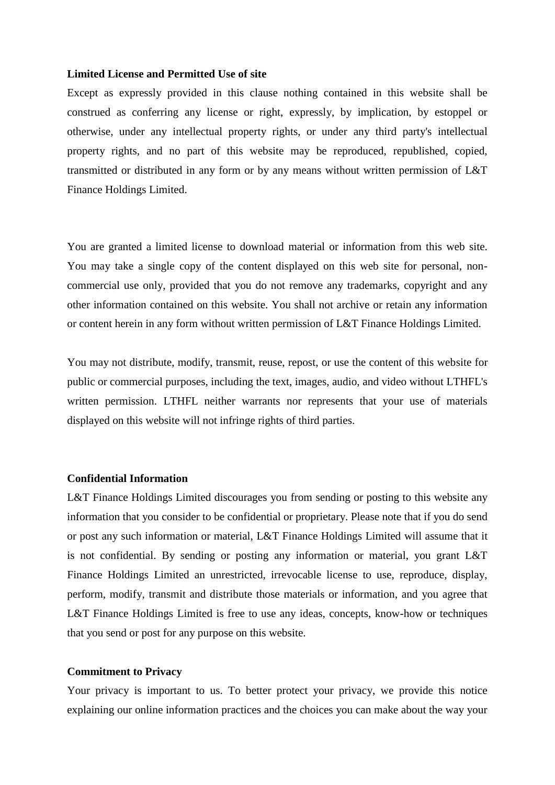### **Limited License and Permitted Use of site**

Except as expressly provided in this clause nothing contained in this website shall be construed as conferring any license or right, expressly, by implication, by estoppel or otherwise, under any intellectual property rights, or under any third party's intellectual property rights, and no part of this website may be reproduced, republished, copied, transmitted or distributed in any form or by any means without written permission of L&T Finance Holdings Limited.

You are granted a limited license to download material or information from this web site. You may take a single copy of the content displayed on this web site for personal, noncommercial use only, provided that you do not remove any trademarks, copyright and any other information contained on this website. You shall not archive or retain any information or content herein in any form without written permission of L&T Finance Holdings Limited.

You may not distribute, modify, transmit, reuse, repost, or use the content of this website for public or commercial purposes, including the text, images, audio, and video without LTHFL's written permission. LTHFL neither warrants nor represents that your use of materials displayed on this website will not infringe rights of third parties.

# **Confidential Information**

L&T Finance Holdings Limited discourages you from sending or posting to this website any information that you consider to be confidential or proprietary. Please note that if you do send or post any such information or material, L&T Finance Holdings Limited will assume that it is not confidential. By sending or posting any information or material, you grant L&T Finance Holdings Limited an unrestricted, irrevocable license to use, reproduce, display, perform, modify, transmit and distribute those materials or information, and you agree that L&T Finance Holdings Limited is free to use any ideas, concepts, know-how or techniques that you send or post for any purpose on this website.

### **Commitment to Privacy**

Your privacy is important to us. To better protect your privacy, we provide this notice explaining our online information practices and the choices you can make about the way your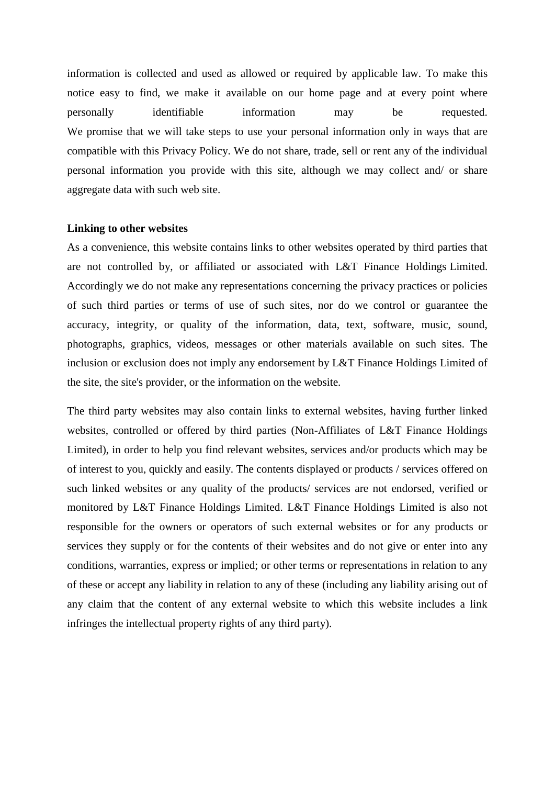information is collected and used as allowed or required by applicable law. To make this notice easy to find, we make it available on our home page and at every point where personally identifiable information may be requested. We promise that we will take steps to use your personal information only in ways that are compatible with this Privacy Policy. We do not share, trade, sell or rent any of the individual personal information you provide with this site, although we may collect and/ or share aggregate data with such web site.

# **Linking to other websites**

As a convenience, this website contains links to other websites operated by third parties that are not controlled by, or affiliated or associated with L&T Finance Holdings Limited. Accordingly we do not make any representations concerning the privacy practices or policies of such third parties or terms of use of such sites, nor do we control or guarantee the accuracy, integrity, or quality of the information, data, text, software, music, sound, photographs, graphics, videos, messages or other materials available on such sites. The inclusion or exclusion does not imply any endorsement by L&T Finance Holdings Limited of the site, the site's provider, or the information on the website.

The third party websites may also contain links to external websites, having further linked websites, controlled or offered by third parties (Non-Affiliates of L&T Finance Holdings Limited), in order to help you find relevant websites, services and/or products which may be of interest to you, quickly and easily. The contents displayed or products / services offered on such linked websites or any quality of the products/ services are not endorsed, verified or monitored by L&T Finance Holdings Limited. L&T Finance Holdings Limited is also not responsible for the owners or operators of such external websites or for any products or services they supply or for the contents of their websites and do not give or enter into any conditions, warranties, express or implied; or other terms or representations in relation to any of these or accept any liability in relation to any of these (including any liability arising out of any claim that the content of any external website to which this website includes a link infringes the intellectual property rights of any third party).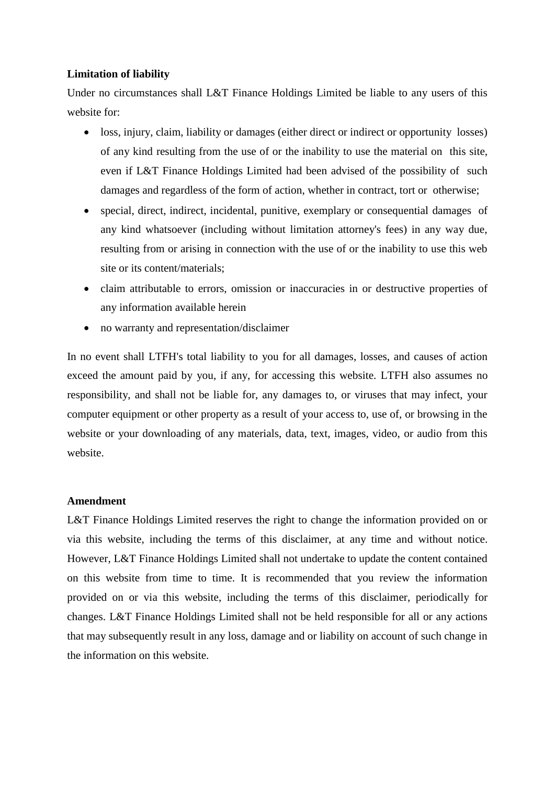# **Limitation of liability**

Under no circumstances shall L&T Finance Holdings Limited be liable to any users of this website for:

- loss, injury, claim, liability or damages (either direct or indirect or opportunity losses) of any kind resulting from the use of or the inability to use the material on this site, even if L&T Finance Holdings Limited had been advised of the possibility of such damages and regardless of the form of action, whether in contract, tort or otherwise;
- special, direct, indirect, incidental, punitive, exemplary or consequential damages of any kind whatsoever (including without limitation attorney's fees) in any way due, resulting from or arising in connection with the use of or the inability to use this web site or its content/materials;
- claim attributable to errors, omission or inaccuracies in or destructive properties of any information available herein
- no warranty and representation/disclaimer

In no event shall LTFH's total liability to you for all damages, losses, and causes of action exceed the amount paid by you, if any, for accessing this website. LTFH also assumes no responsibility, and shall not be liable for, any damages to, or viruses that may infect, your computer equipment or other property as a result of your access to, use of, or browsing in the website or your downloading of any materials, data, text, images, video, or audio from this website.

# **Amendment**

L&T Finance Holdings Limited reserves the right to change the information provided on or via this website, including the terms of this disclaimer, at any time and without notice. However, L&T Finance Holdings Limited shall not undertake to update the content contained on this website from time to time. It is recommended that you review the information provided on or via this website, including the terms of this disclaimer, periodically for changes. L&T Finance Holdings Limited shall not be held responsible for all or any actions that may subsequently result in any loss, damage and or liability on account of such change in the information on this website.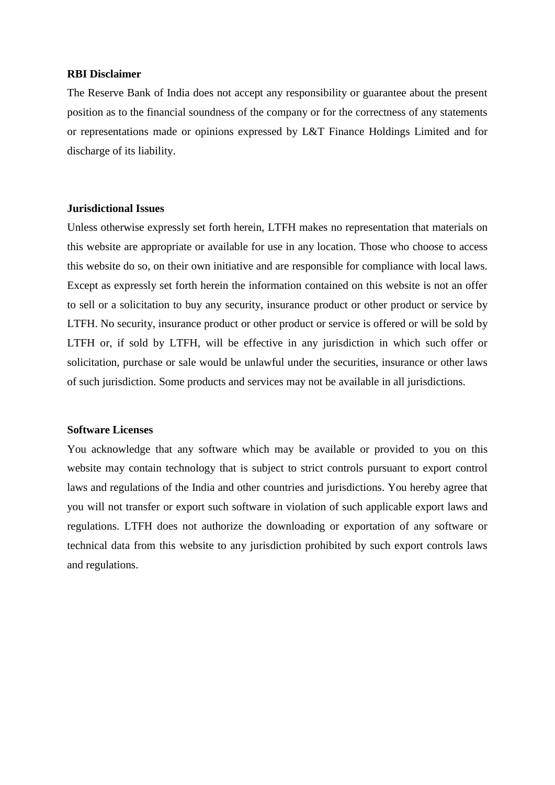#### **RBI Disclaimer**

The Reserve Bank of India does not accept any responsibility or guarantee about the present position as to the financial soundness of the company or for the correctness of any statements or representations made or opinions expressed by L&T Finance Holdings Limited and for discharge of its liability.

#### **Jurisdictional Issues**

Unless otherwise expressly set forth herein, LTFH makes no representation that materials on this website are appropriate or available for use in any location. Those who choose to access this website do so, on their own initiative and are responsible for compliance with local laws. Except as expressly set forth herein the information contained on this website is not an offer to sell or a solicitation to buy any security, insurance product or other product or service by LTFH. No security, insurance product or other product or service is offered or will be sold by LTFH or, if sold by LTFH, will be effective in any jurisdiction in which such offer or solicitation, purchase or sale would be unlawful under the securities, insurance or other laws of such jurisdiction. Some products and services may not be available in all jurisdictions.

### **Software Licenses**

You acknowledge that any software which may be available or provided to you on this website may contain technology that is subject to strict controls pursuant to export control laws and regulations of the India and other countries and jurisdictions. You hereby agree that you will not transfer or export such software in violation of such applicable export laws and regulations. LTFH does not authorize the downloading or exportation of any software or technical data from this website to any jurisdiction prohibited by such export controls laws and regulations.